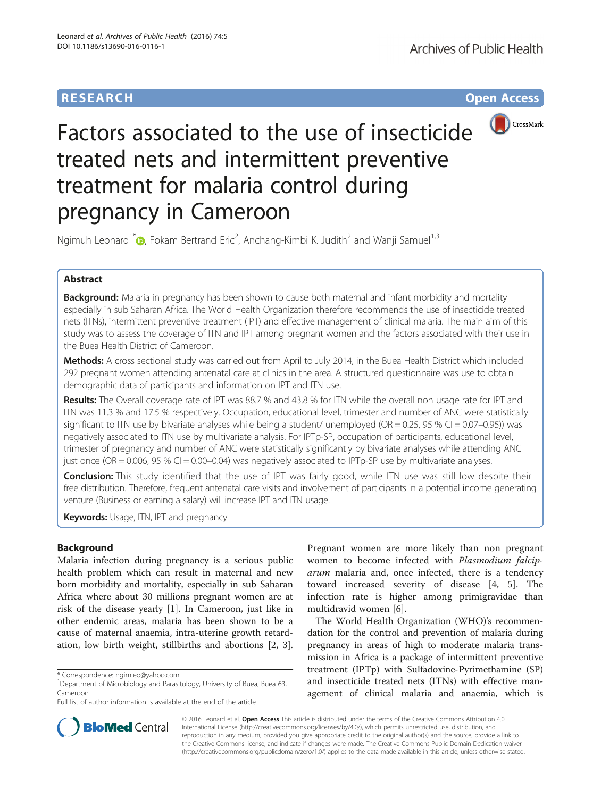# **RESEARCH CHE Open Access**



# Factors associated to the use of insecticide treated nets and intermittent preventive treatment for malaria control during pregnancy in Cameroon

Ngimuh Leonard<sup>1\*</sup> $\bm{\mathbb{D}}$ [,](http://orcid.org/0000-0003-0800-5570) Fokam Bertrand Eric<sup>2</sup>, Anchang-Kimbi K. Judith<sup>2</sup> and Wanji Samuel<sup>1,3</sup>

# Abstract

Background: Malaria in pregnancy has been shown to cause both maternal and infant morbidity and mortality especially in sub Saharan Africa. The World Health Organization therefore recommends the use of insecticide treated nets (ITNs), intermittent preventive treatment (IPT) and effective management of clinical malaria. The main aim of this study was to assess the coverage of ITN and IPT among pregnant women and the factors associated with their use in the Buea Health District of Cameroon.

Methods: A cross sectional study was carried out from April to July 2014, in the Buea Health District which included 292 pregnant women attending antenatal care at clinics in the area. A structured questionnaire was use to obtain demographic data of participants and information on IPT and ITN use.

Results: The Overall coverage rate of IPT was 88.7 % and 43.8 % for ITN while the overall non usage rate for IPT and ITN was 11.3 % and 17.5 % respectively. Occupation, educational level, trimester and number of ANC were statistically significant to ITN use by bivariate analyses while being a student/ unemployed ( $OR = 0.25$ , 95 % CI = 0.07–0.95)) was negatively associated to ITN use by multivariate analysis. For IPTp-SP, occupation of participants, educational level, trimester of pregnancy and number of ANC were statistically significantly by bivariate analyses while attending ANC just once (OR = 0.006, 95 % CI = 0.00–0.04) was negatively associated to IPTp-SP use by multivariate analyses.

Conclusion: This study identified that the use of IPT was fairly good, while ITN use was still low despite their free distribution. Therefore, frequent antenatal care visits and involvement of participants in a potential income generating venture (Business or earning a salary) will increase IPT and ITN usage.

Keywords: Usage, ITN, IPT and pregnancy

## Background

Malaria infection during pregnancy is a serious public health problem which can result in maternal and new born morbidity and mortality, especially in sub Saharan Africa where about 30 millions pregnant women are at risk of the disease yearly [[1\]](#page-4-0). In Cameroon, just like in other endemic areas, malaria has been shown to be a cause of maternal anaemia, intra-uterine growth retardation, low birth weight, stillbirths and abortions [[2, 3](#page-4-0)].

Pregnant women are more likely than non pregnant women to become infected with Plasmodium falciparum malaria and, once infected, there is a tendency toward increased severity of disease [[4, 5](#page-4-0)]. The infection rate is higher among primigravidae than multidravid women [[6\]](#page-4-0).

The World Health Organization (WHO)'s recommendation for the control and prevention of malaria during pregnancy in areas of high to moderate malaria transmission in Africa is a package of intermittent preventive treatment (IPTp) with Sulfadoxine-Pyrimethamine (SP) and insecticide treated nets (ITNs) with effective management of clinical malaria and anaemia, which is



© 2016 Leonard et al. Open Access This article is distributed under the terms of the Creative Commons Attribution 4.0 International License [\(http://creativecommons.org/licenses/by/4.0/](http://creativecommons.org/licenses/by/4.0/)), which permits unrestricted use, distribution, and reproduction in any medium, provided you give appropriate credit to the original author(s) and the source, provide a link to the Creative Commons license, and indicate if changes were made. The Creative Commons Public Domain Dedication waiver [\(http://creativecommons.org/publicdomain/zero/1.0/](http://creativecommons.org/publicdomain/zero/1.0/)) applies to the data made available in this article, unless otherwise stated.

<sup>\*</sup> Correspondence: [ngimleo@yahoo.com](mailto:ngimleo@yahoo.com) <sup>1</sup>

<sup>&</sup>lt;sup>1</sup>Department of Microbiology and Parasitology, University of Buea, Buea 63, Cameroon

Full list of author information is available at the end of the article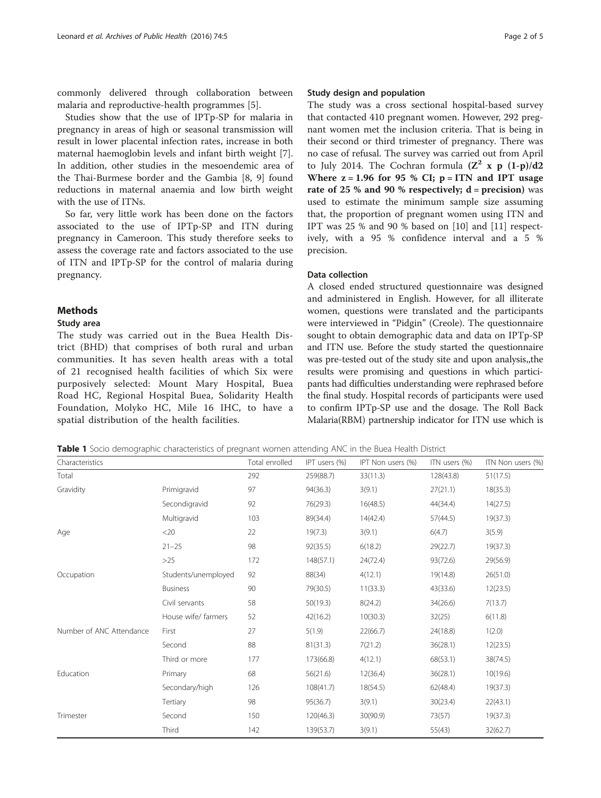<span id="page-1-0"></span>commonly delivered through collaboration between malaria and reproductive-health programmes [[5](#page-4-0)].

Studies show that the use of IPTp-SP for malaria in pregnancy in areas of high or seasonal transmission will result in lower placental infection rates, increase in both maternal haemoglobin levels and infant birth weight [\[7](#page-4-0)]. In addition, other studies in the mesoendemic area of the Thai-Burmese border and the Gambia [[8, 9](#page-4-0)] found reductions in maternal anaemia and low birth weight with the use of ITNs.

So far, very little work has been done on the factors associated to the use of IPTp-SP and ITN during pregnancy in Cameroon. This study therefore seeks to assess the coverage rate and factors associated to the use of ITN and IPTp-SP for the control of malaria during pregnancy.

#### Methods

#### Study area

The study was carried out in the Buea Health District (BHD) that comprises of both rural and urban communities. It has seven health areas with a total of 21 recognised health facilities of which Six were purposively selected: Mount Mary Hospital, Buea Road HC, Regional Hospital Buea, Solidarity Health Foundation, Molyko HC, Mile 16 IHC, to have a spatial distribution of the health facilities.

#### Study design and population

The study was a cross sectional hospital-based survey that contacted 410 pregnant women. However, 292 pregnant women met the inclusion criteria. That is being in their second or third trimester of pregnancy. There was no case of refusal. The survey was carried out from April to July 2014. The Cochran formula  $(\mathbb{Z}^2 \times \mathbb{P} (1-p)/d2)$ Where  $z = 1.96$  for 95 % CI;  $p = ITN$  and IPT usage rate of 25 % and 90 % respectively;  $d = precision$ ) was used to estimate the minimum sample size assuming that, the proportion of pregnant women using ITN and IPT was 25 % and 90 % based on [[10](#page-4-0)] and [[11](#page-4-0)] respectively, with a 95 % confidence interval and a 5 % precision.

#### Data collection

A closed ended structured questionnaire was designed and administered in English. However, for all illiterate women, questions were translated and the participants were interviewed in "Pidgin" (Creole). The questionnaire sought to obtain demographic data and data on IPTp-SP and ITN use. Before the study started the questionnaire was pre-tested out of the study site and upon analysis,,the results were promising and questions in which participants had difficulties understanding were rephrased before the final study. Hospital records of participants were used to confirm IPTp-SP use and the dosage. The Roll Back Malaria(RBM) partnership indicator for ITN use which is

Table 1 Socio demographic characteristics of pregnant women attending ANC in the Buea Health District

| Characteristics          |                     | Total enrolled | IPT users (%) | IPT Non users (%) | ITN users (%) | ITN Non users (%) |
|--------------------------|---------------------|----------------|---------------|-------------------|---------------|-------------------|
| Total                    |                     | 292            | 259(88.7)     | 33(11.3)          | 128(43.8)     | 51(17.5)          |
| Gravidity                | Primigravid         | 97             | 94(36.3)      | 3(9.1)            | 27(21.1)      | 18(35.3)          |
|                          | Secondigravid       | 92             | 76(29.3)      | 16(48.5)          | 44(34.4)      | 14(27.5)          |
|                          | Multigravid         | 103            | 89(34.4)      | 14(42.4)          | 57(44.5)      | 19(37.3)          |
| Age                      | $<$ 20              | 22             | 19(7.3)       | 3(9.1)            | 6(4.7)        | 3(5.9)            |
|                          | $21 - 25$           | 98             | 92(35.5)      | 6(18.2)           | 29(22.7)      | 19(37.3)          |
|                          | $>25$               | 172            | 148(57.1)     | 24(72.4)          | 93(72.6)      | 29(56.9)          |
| Occupation               | Students/unemployed | 92             | 88(34)        | 4(12.1)           | 19(14.8)      | 26(51.0)          |
|                          | <b>Business</b>     | 90             | 79(30.5)      | 11(33.3)          | 43(33.6)      | 12(23.5)          |
|                          | Civil servants      | 58             | 50(19.3)      | 8(24.2)           | 34(26.6)      | 7(13.7)           |
|                          | House wife/ farmers | 52             | 42(16.2)      | 10(30.3)          | 32(25)        | 6(11.8)           |
| Number of ANC Attendance | First               | 27             | 5(1.9)        | 22(66.7)          | 24(18.8)      | 1(2.0)            |
|                          | Second              | 88             | 81(31.3)      | 7(21.2)           | 36(28.1)      | 12(23.5)          |
|                          | Third or more       | 177            | 173(66.8)     | 4(12.1)           | 68(53.1)      | 38(74.5)          |
| Education                | Primary             | 68             | 56(21.6)      | 12(36.4)          | 36(28.1)      | 10(19.6)          |
|                          | Secondary/high      | 126            | 108(41.7)     | 18(54.5)          | 62(48.4)      | 19(37.3)          |
|                          | Tertiary            | 98             | 95(36.7)      | 3(9.1)            | 30(23.4)      | 22(43.1)          |
| Trimester                | Second              | 150            | 120(46.3)     | 30(90.9)          | 73(57)        | 19(37.3)          |
|                          | Third               | 142            | 139(53.7)     | 3(9.1)            | 55(43)        | 32(62.7)          |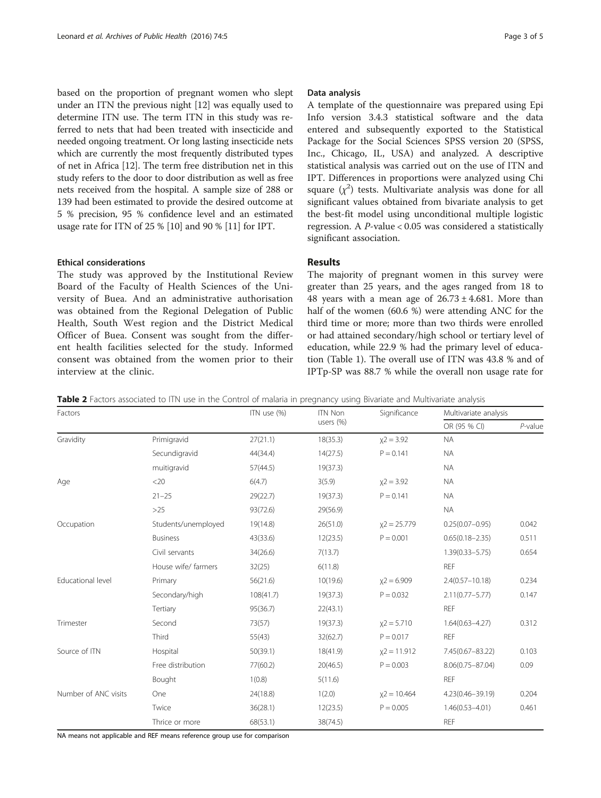<span id="page-2-0"></span>based on the proportion of pregnant women who slept under an ITN the previous night [[12](#page-4-0)] was equally used to determine ITN use. The term ITN in this study was referred to nets that had been treated with insecticide and needed ongoing treatment. Or long lasting insecticide nets which are currently the most frequently distributed types of net in Africa [\[12\]](#page-4-0). The term free distribution net in this study refers to the door to door distribution as well as free nets received from the hospital. A sample size of 288 or 139 had been estimated to provide the desired outcome at 5 % precision, 95 % confidence level and an estimated usage rate for ITN of 25 % [\[10\]](#page-4-0) and 90 % [[11\]](#page-4-0) for IPT.

#### Ethical considerations

The study was approved by the Institutional Review Board of the Faculty of Health Sciences of the University of Buea. And an administrative authorisation was obtained from the Regional Delegation of Public Health, South West region and the District Medical Officer of Buea. Consent was sought from the different health facilities selected for the study. Informed consent was obtained from the women prior to their interview at the clinic.

#### Data analysis

A template of the questionnaire was prepared using Epi Info version 3.4.3 statistical software and the data entered and subsequently exported to the Statistical Package for the Social Sciences SPSS version 20 (SPSS, Inc., Chicago, IL, USA) and analyzed. A descriptive statistical analysis was carried out on the use of ITN and IPT. Differences in proportions were analyzed using Chi square  $(\chi^2)$  tests. Multivariate analysis was done for all significant values obtained from bivariate analysis to get the best-fit model using unconditional multiple logistic regression. A  $P$ -value < 0.05 was considered a statistically significant association.

### Results

The majority of pregnant women in this survey were greater than 25 years, and the ages ranged from 18 to 48 years with a mean age of  $26.73 \pm 4.681$ . More than half of the women (60.6 %) were attending ANC for the third time or more; more than two thirds were enrolled or had attained secondary/high school or tertiary level of education, while 22.9 % had the primary level of education (Table [1\)](#page-1-0). The overall use of ITN was 43.8 % and of IPTp-SP was 88.7 % while the overall non usage rate for

| Table 2 Factors associated to ITN use in the Control of malaria in pregnancy using Bivariate and Multivariate analysis |  |
|------------------------------------------------------------------------------------------------------------------------|--|
|------------------------------------------------------------------------------------------------------------------------|--|

| Factors              |                     | ITN use (%) | <b>ITN Non</b><br>users (%) | Significance  | Multivariate analysis |            |
|----------------------|---------------------|-------------|-----------------------------|---------------|-----------------------|------------|
|                      |                     |             |                             |               | OR (95 % CI)          | $P$ -value |
| Gravidity            | Primigravid         | 27(21.1)    | 18(35.3)                    | $x^2 = 3.92$  | <b>NA</b>             |            |
|                      | Secundigravid       | 44(34.4)    | 14(27.5)                    | $P = 0.141$   | <b>NA</b>             |            |
|                      | muitigravid         | 57(44.5)    | 19(37.3)                    |               | <b>NA</b>             |            |
| Age                  | <20                 | 6(4.7)      | 3(5.9)                      | $x^2 = 3.92$  | <b>NA</b>             |            |
|                      | $21 - 25$           | 29(22.7)    | 19(37.3)                    | $P = 0.141$   | <b>NA</b>             |            |
|                      | $>25$               | 93(72.6)    | 29(56.9)                    |               | <b>NA</b>             |            |
| Occupation           | Students/unemployed | 19(14.8)    | 26(51.0)                    | $x2 = 25.779$ | $0.25(0.07 - 0.95)$   | 0.042      |
|                      | <b>Business</b>     | 43(33.6)    | 12(23.5)                    | $P = 0.001$   | $0.65(0.18 - 2.35)$   | 0.511      |
|                      | Civil servants      | 34(26.6)    | 7(13.7)                     |               | $1.39(0.33 - 5.75)$   | 0.654      |
|                      | House wife/ farmers | 32(25)      | 6(11.8)                     |               | <b>REF</b>            |            |
| Educational level    | Primary             | 56(21.6)    | 10(19.6)                    | $x2 = 6.909$  | $2.4(0.57 - 10.18)$   | 0.234      |
|                      | Secondary/high      | 108(41.7)   | 19(37.3)                    | $P = 0.032$   | $2.11(0.77 - 5.77)$   | 0.147      |
|                      | Tertiary            | 95(36.7)    | 22(43.1)                    |               | <b>REF</b>            |            |
| Trimester            | Second              | 73(57)      | 19(37.3)                    | $x2 = 5.710$  | $1.64(0.63 - 4.27)$   | 0.312      |
|                      | Third               | 55(43)      | 32(62.7)                    | $P = 0.017$   | <b>REF</b>            |            |
| Source of ITN        | Hospital            | 50(39.1)    | 18(41.9)                    | $x2 = 11.912$ | 7.45(0.67-83.22)      | 0.103      |
|                      | Free distribution   | 77(60.2)    | 20(46.5)                    | $P = 0.003$   | 8.06(0.75-87.04)      | 0.09       |
|                      | Bought              | 1(0.8)      | 5(11.6)                     |               | <b>REF</b>            |            |
| Number of ANC visits | One                 | 24(18.8)    | 1(2.0)                      | $x2 = 10.464$ | 4.23(0.46-39.19)      | 0.204      |
|                      | Twice               | 36(28.1)    | 12(23.5)                    | $P = 0.005$   | $1.46(0.53 - 4.01)$   | 0.461      |
|                      | Thrice or more      | 68(53.1)    | 38(74.5)                    |               | <b>REF</b>            |            |

NA means not applicable and REF means reference group use for comparison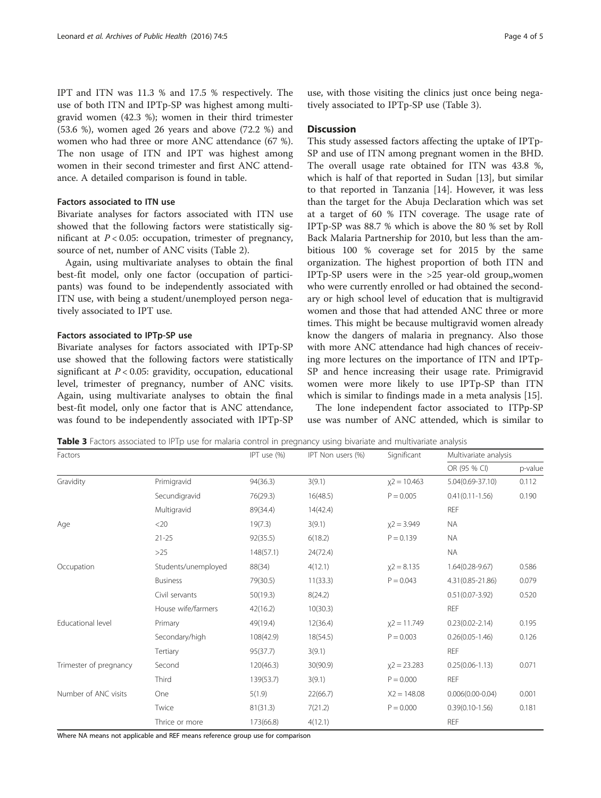IPT and ITN was 11.3 % and 17.5 % respectively. The use of both ITN and IPTp-SP was highest among multigravid women (42.3 %); women in their third trimester (53.6 %), women aged 26 years and above (72.2 %) and women who had three or more ANC attendance (67 %). The non usage of ITN and IPT was highest among women in their second trimester and first ANC attendance. A detailed comparison is found in table.

#### Factors associated to ITN use

Bivariate analyses for factors associated with ITN use showed that the following factors were statistically significant at  $P < 0.05$ : occupation, trimester of pregnancy, source of net, number of ANC visits (Table [2\)](#page-2-0).

Again, using multivariate analyses to obtain the final best-fit model, only one factor (occupation of participants) was found to be independently associated with ITN use, with being a student/unemployed person negatively associated to IPT use.

#### Factors associated to IPTp-SP use

Bivariate analyses for factors associated with IPTp-SP use showed that the following factors were statistically significant at  $P < 0.05$ : gravidity, occupation, educational level, trimester of pregnancy, number of ANC visits. Again, using multivariate analyses to obtain the final best-fit model, only one factor that is ANC attendance, was found to be independently associated with IPTp-SP use, with those visiting the clinics just once being negatively associated to IPTp-SP use (Table 3).

#### **Discussion**

This study assessed factors affecting the uptake of IPTp-SP and use of ITN among pregnant women in the BHD. The overall usage rate obtained for ITN was 43.8 %, which is half of that reported in Sudan [[13\]](#page-4-0), but similar to that reported in Tanzania [[14\]](#page-4-0). However, it was less than the target for the Abuja Declaration which was set at a target of 60 % ITN coverage. The usage rate of IPTp-SP was 88.7 % which is above the 80 % set by Roll Back Malaria Partnership for 2010, but less than the ambitious 100 % coverage set for 2015 by the same organization. The highest proportion of both ITN and IPTp-SP users were in the >25 year-old group,,women who were currently enrolled or had obtained the secondary or high school level of education that is multigravid women and those that had attended ANC three or more times. This might be because multigravid women already know the dangers of malaria in pregnancy. Also those with more ANC attendance had high chances of receiving more lectures on the importance of ITN and IPTp-SP and hence increasing their usage rate. Primigravid women were more likely to use IPTp-SP than ITN which is similar to findings made in a meta analysis [[15](#page-4-0)].

The lone independent factor associated to ITPp-SP use was number of ANC attended, which is similar to

Table 3 Factors associated to IPTp use for malaria control in pregnancy using bivariate and multivariate analysis

| Factors                |                     | IPT use (%) | IPT Non users (%) | Significant    | Multivariate analysis |         |
|------------------------|---------------------|-------------|-------------------|----------------|-----------------------|---------|
|                        |                     |             |                   |                | OR (95 % CI)          | p-value |
| Gravidity              | Primigravid         | 94(36.3)    | 3(9.1)            | $x2 = 10.463$  | 5.04(0.69-37.10)      | 0.112   |
|                        | Secundigravid       | 76(29.3)    | 16(48.5)          | $P = 0.005$    | $0.41(0.11 - 1.56)$   | 0.190   |
|                        | Multigravid         | 89(34.4)    | 14(42.4)          |                | <b>REF</b>            |         |
| Age                    | $<$ 20              | 19(7.3)     | 3(9.1)            | $x2 = 3.949$   | <b>NA</b>             |         |
|                        | $21 - 25$           | 92(35.5)    | 6(18.2)           | $P = 0.139$    | <b>NA</b>             |         |
|                        | $>25$               | 148(57.1)   | 24(72.4)          |                | <b>NA</b>             |         |
| Occupation             | Students/unemployed | 88(34)      | 4(12.1)           | $x^2 = 8.135$  | $1.64(0.28 - 9.67)$   | 0.586   |
|                        | <b>Business</b>     | 79(30.5)    | 11(33.3)          | $P = 0.043$    | 4.31(0.85-21.86)      | 0.079   |
|                        | Civil servants      | 50(19.3)    | 8(24.2)           |                | $0.51(0.07 - 3.92)$   | 0.520   |
|                        | House wife/farmers  | 42(16.2)    | 10(30.3)          |                | <b>REF</b>            |         |
| Educational level      | Primary             | 49(19.4)    | 12(36.4)          | $x2 = 11.749$  | $0.23(0.02 - 2.14)$   | 0.195   |
|                        | Secondary/high      | 108(42.9)   | 18(54.5)          | $P = 0.003$    | $0.26(0.05 - 1.46)$   | 0.126   |
|                        | Tertiary            | 95(37.7)    | 3(9.1)            |                | REF                   |         |
| Trimester of pregnancy | Second              | 120(46.3)   | 30(90.9)          | $x^2 = 23.283$ | $0.25(0.06 - 1.13)$   | 0.071   |
|                        | Third               | 139(53.7)   | 3(9.1)            | $P = 0.000$    | REF                   |         |
| Number of ANC visits   | One                 | 5(1.9)      | 22(66.7)          | $X2 = 148.08$  | $0.006(0.00-0.04)$    | 0.001   |
|                        | Twice               | 81(31.3)    | 7(21.2)           | $P = 0.000$    | $0.39(0.10 - 1.56)$   | 0.181   |
|                        | Thrice or more      | 173(66.8)   | 4(12.1)           |                | <b>REF</b>            |         |

Where NA means not applicable and REF means reference group use for comparison